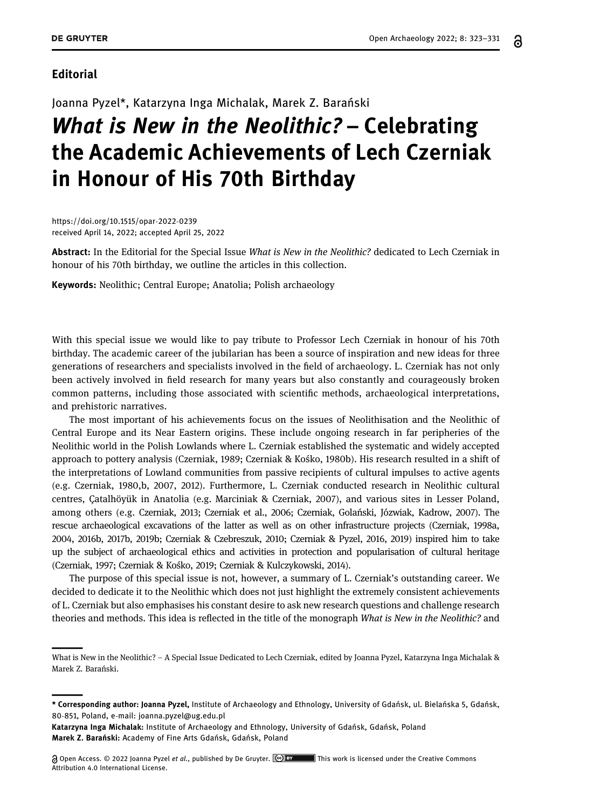### Editorial

Joanna Pyzel\*, Katarzyna Inga Michalak, Marek Z. Barański

# What is New in the Neolithic? – Celebrating the Academic Achievements of Lech Czerniak in Honour of His 70th Birthday

[https://doi.org/10.1515/opar](https://doi.org/10.1515/opar-2022-0239)-2022-0239 received April 14, 2022; accepted April 25, 2022

Abstract: In the Editorial for the Special Issue What is New in the Neolithic? dedicated to Lech Czerniak in honour of his 70th birthday, we outline the articles in this collection.

Keywords: Neolithic; Central Europe; Anatolia; Polish archaeology

With this special issue we would like to pay tribute to Professor Lech Czerniak in honour of his 70th birthday. The academic career of the jubilarian has been a source of inspiration and new ideas for three generations of researchers and specialists involved in the field of archaeology. L. Czerniak has not only been actively involved in field research for many years but also constantly and courageously broken common patterns, including those associated with scientific methods, archaeological interpretations, and prehistoric narratives.

The most important of his achievements focus on the issues of Neolithisation and the Neolithic of Central Europe and its Near Eastern origins. These include ongoing research in far peripheries of the Neolithic world in the Polish Lowlands where L. Czerniak established the systematic and widely accepted approach to pottery analysis (Czerniak, [1989;](#page-5-0) Czerniak & Kośko, [1980b](#page-7-0)). His research resulted in a shift of the interpretations of Lowland communities from passive recipients of cultural impulses to active agents (e.g. Czerniak, [1980,](#page-5-1)[b,](#page-5-2) [2007,](#page-5-3) [2012](#page-6-0)). Furthermore, L. Czerniak conducted research in Neolithic cultural centres, Çatalhöyük in Anatolia (e.g. Marciniak & Czerniak, [2007](#page-7-1)), and various sites in Lesser Poland, among others (e.g. Czerniak, [2013](#page-6-1); Czerniak et al., [2006](#page-6-2); Czerniak, Golański, Józwiak, Kadrow, [2007](#page-7-2)). The rescue archaeological excavations of the latter as well as on other infrastructure projects (Czerniak, [1998a,](#page-5-4) [2004](#page-5-5), [2016b](#page-6-3), [2017b](#page-6-4), [2019b](#page-6-5); Czerniak & Czebreszuk, [2010;](#page-6-6) Czerniak & Pyzel, [2016](#page-7-3), [2019](#page-7-4)) inspired him to take up the subject of archaeological ethics and activities in protection and popularisation of cultural heritage (Czerniak, [1997](#page-5-6); Czerniak & Kośko, [2019;](#page-7-5) Czerniak & Kulczykowski, [2014](#page-7-6)).

The purpose of this special issue is not, however, a summary of L. Czerniak's outstanding career. We decided to dedicate it to the Neolithic which does not just highlight the extremely consistent achievements of L. Czerniak but also emphasises his constant desire to ask new research questions and challenge research theories and methods. This idea is reflected in the title of the monograph What is New in the Neolithic? and

႕

What is New in the Neolithic? – A Special Issue Dedicated to Lech Czerniak, edited by Joanna Pyzel, Katarzyna Inga Michalak & Marek Z. Barański.

<sup>\*</sup> Corresponding author: Joanna Pyzel, Institute of Archaeology and Ethnology, University of Gdańsk, ul. Bielańska 5, Gdańsk, 80-851, Poland, e-mail: [joanna.pyzel@ug.edu.pl](mailto:joanna.pyzel@ug.edu.pl)

Katarzyna Inga Michalak: Institute of Archaeology and Ethnology, University of Gdańsk, Gdańsk, Poland Marek Z. Barański: Academy of Fine Arts Gdańsk, Gdańsk, Poland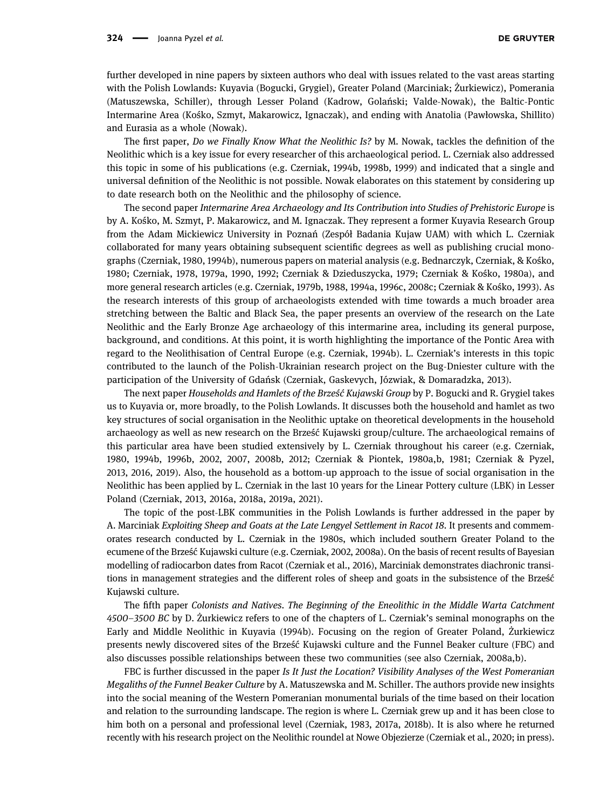further developed in nine papers by sixteen authors who deal with issues related to the vast areas starting with the Polish Lowlands: Kuyavia (Bogucki, Grygiel), Greater Poland (Marciniak; Żurkiewicz), Pomerania (Matuszewska, Schiller), through Lesser Poland (Kadrow, Golański; Valde-Nowak), the Baltic-Pontic Intermarine Area (Kośko, Szmyt, Makarowicz, Ignaczak), and ending with Anatolia (Pawłowska, Shillito) and Eurasia as a whole (Nowak).

The first paper, Do we Finally Know What the Neolithic Is? by M. Nowak, tackles the definition of the Neolithic which is a key issue for every researcher of this archaeological period. L. Czerniak also addressed this topic in some of his publications (e.g. Czerniak, [1994b](#page-5-2), [1998b](#page-5-7), [1999](#page-5-8)) and indicated that a single and universal definition of the Neolithic is not possible. Nowak elaborates on this statement by considering up to date research both on the Neolithic and the philosophy of science.

The second paper Intermarine Area Archaeology and Its Contribution into Studies of Prehistoric Europe is by A. Kośko, M. Szmyt, P. Makarowicz, and M. Ignaczak. They represent a former Kuyavia Research Group from the Adam Mickiewicz University in Poznań (Zespół Badania Kujaw UAM) with which L. Czerniak collaborated for many years obtaining subsequent scientific degrees as well as publishing crucial monographs (Czerniak, [1980,](#page-5-1) [1994b](#page-5-2)), numerous papers on material analysis (e.g. Bednarczyk, Czerniak, & Kośko, [1980](#page-5-9); Czerniak, [1978](#page-5-10), [1979a,](#page-5-11) [1990](#page-5-12), [1992;](#page-5-13) Czerniak & Dzieduszycka, [1979](#page-6-7); Czerniak & Kośko, [1980a](#page-7-7)), and more general research articles (e.g. Czerniak, [1979b,](#page-5-14) [1988,](#page-5-15) [1994a,](#page-5-16) [1996c,](#page-5-17) [2008c](#page-6-8); Czerniak & Kośko, [1993](#page-7-8)). As the research interests of this group of archaeologists extended with time towards a much broader area stretching between the Baltic and Black Sea, the paper presents an overview of the research on the Late Neolithic and the Early Bronze Age archaeology of this intermarine area, including its general purpose, background, and conditions. At this point, it is worth highlighting the importance of the Pontic Area with regard to the Neolithisation of Central Europe (e.g. Czerniak, [1994b](#page-5-2)). L. Czerniak's interests in this topic contributed to the launch of the Polish-Ukrainian research project on the Bug-Dniester culture with the participation of the University of Gdańsk (Czerniak, Gaskevych, Józwiak, & Domaradzka, [2013](#page-6-9)).

The next paper Households and Hamlets of the Brześć Kujawski Group by P. Bogucki and R. Grygiel takes us to Kuyavia or, more broadly, to the Polish Lowlands. It discusses both the household and hamlet as two key structures of social organisation in the Neolithic uptake on theoretical developments in the household archaeology as well as new research on the Brześć Kujawski group/culture. The archaeological remains of this particular area have been studied extensively by L. Czerniak throughout his career (e.g. Czerniak, [1980](#page-5-1), [1994b](#page-5-2), [1996b](#page-5-18), [2002](#page-5-19), [2007,](#page-5-3) [2008b,](#page-6-10) [2012;](#page-6-0) Czerniak & Piontek, [1980a](#page-7-9)[,b](#page-7-10), [1981](#page-7-11); Czerniak & Pyzel, [2013](#page-7-12), [2016](#page-7-3), [2019](#page-7-4)). Also, the household as a bottom-up approach to the issue of social organisation in the Neolithic has been applied by L. Czerniak in the last 10 years for the Linear Pottery culture (LBK) in Lesser Poland (Czerniak, [2013](#page-6-1), [2016a](#page-6-11), [2018a](#page-6-12), [2019a](#page-6-13), [2021](#page-6-14)).

The topic of the post-LBK communities in the Polish Lowlands is further addressed in the paper by A. Marciniak Exploiting Sheep and Goats at the Late Lengyel Settlement in Racot 18. It presents and commemorates research conducted by L. Czerniak in the 1980s, which included southern Greater Poland to the ecumene of the Brześć Kujawski culture (e.g. Czerniak, [2002](#page-5-19), [2008a](#page-6-15)). On the basis of recent results of Bayesian modelling of radiocarbon dates from Racot (Czerniak et al., [2016](#page-7-13)), Marciniak demonstrates diachronic transitions in management strategies and the different roles of sheep and goats in the subsistence of the Brześć Kujawski culture.

The fifth paper Colonists and Natives. The Beginning of the Eneolithic in the Middle Warta Catchment 4500–3500 BC by D. Żurkiewicz refers to one of the chapters of L. Czerniak's seminal monographs on the Early and Middle Neolithic in Kuyavia (1994b). Focusing on the region of Greater Poland, Żurkiewicz presents newly discovered sites of the Brześć Kujawski culture and the Funnel Beaker culture (FBC) and also discusses possible relationships between these two communities (see also Czerniak, [2008a,](#page-6-15)[b](#page-6-10)).

FBC is further discussed in the paper Is It Just the Location? Visibility Analyses of the West Pomeranian Megaliths of the Funnel Beaker Culture by A. Matuszewska and M. Schiller. The authors provide new insights into the social meaning of the Western Pomeranian monumental burials of the time based on their location and relation to the surrounding landscape. The region is where L. Czerniak grew up and it has been close to him both on a personal and professional level (Czerniak, [1983](#page-5-20), [2017a,](#page-6-16) [2018b](#page-6-17)). It is also where he returned recently with his research project on the Neolithic roundel at Nowe Objezierze (Czerniak et al., [2020](#page-7-14); in [press](#page-7-15)).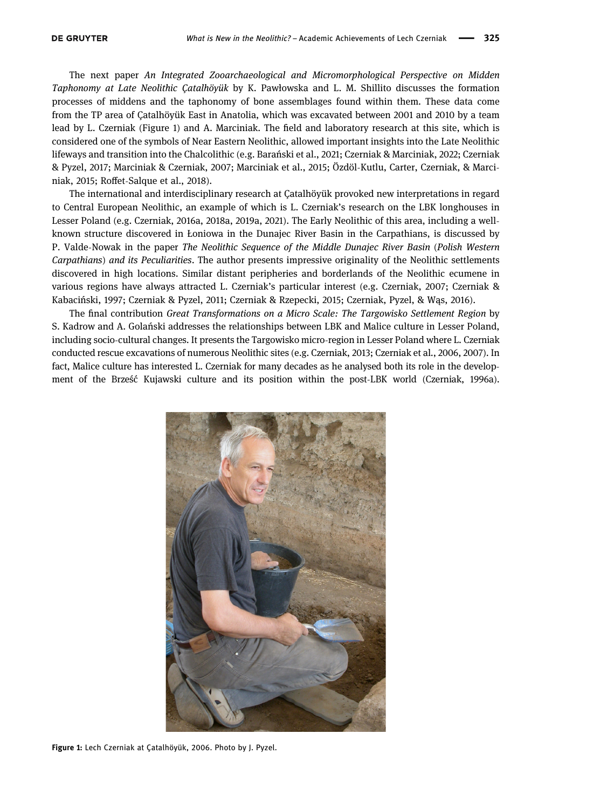The next paper An Integrated Zooarchaeological and Micromorphological Perspective on Midden Taphonomy at Late Neolithic Çatalhöyük by K. Pawłowska and L. M. Shillito discusses the formation processes of middens and the taphonomy of bone assemblages found within them. These data come from the TP area of Çatalhöyük East in Anatolia, which was excavated between 2001 and 2010 by a team lead by L. Czerniak ([Figure 1](#page-2-0)) and A. Marciniak. The field and laboratory research at this site, which is considered one of the symbols of Near Eastern Neolithic, allowed important insights into the Late Neolithic lifeways and transition into the Chalcolithic (e.g. Barański et al., [2021](#page-5-21); Czerniak & Marciniak, [2022](#page-7-16); Czerniak & Pyzel, [2017](#page-7-17); Marciniak & Czerniak, [2007;](#page-7-1) Marciniak et al., [2015;](#page-7-18) Özdöl-Kutlu, Carter, Czerniak, & Marciniak, [2015;](#page-8-0) Roffet-Salque et al., [2018](#page-8-1)).

The international and interdisciplinary research at Çatalhöyük provoked new interpretations in regard to Central European Neolithic, an example of which is L. Czerniak's research on the LBK longhouses in Lesser Poland (e.g. Czerniak, [2016a,](#page-6-11) [2018a,](#page-6-12) [2019a,](#page-6-13) [2021](#page-6-14)). The Early Neolithic of this area, including a wellknown structure discovered in Łoniowa in the Dunajec River Basin in the Carpathians, is discussed by P. Valde-Nowak in the paper The Neolithic Sequence of the Middle Dunajec River Basin (Polish Western Carpathians) and its Peculiarities. The author presents impressive originality of the Neolithic settlements discovered in high locations. Similar distant peripheries and borderlands of the Neolithic ecumene in various regions have always attracted L. Czerniak's particular interest (e.g. Czerniak, [2007](#page-5-3); Czerniak & Kabaciński, [1997](#page-7-19); Czerniak & Pyzel, [2011;](#page-7-20) Czerniak & Rzepecki, [2015;](#page-7-21) Czerniak, Pyzel, & Wąs, [2016](#page-7-22)).

The final contribution Great Transformations on a Micro Scale: The Targowisko Settlement Region by S. Kadrow and A. Golański addresses the relationships between LBK and Malice culture in Lesser Poland, including socio-cultural changes. It presents the Targowisko micro-region in Lesser Poland where L. Czerniak conducted rescue excavations of numerous Neolithic sites (e.g. Czerniak, [2013](#page-6-1); Czerniak et al., [2006,](#page-6-2) [2007](#page-7-2)). In fact, Malice culture has interested L. Czerniak for many decades as he analysed both its role in the development of the Brześć Kujawski culture and its position within the post-LBK world (Czerniak, [1996a](#page-5-22)).

<span id="page-2-0"></span>

Figure 1: Lech Czerniak at Çatalhöyük, 2006. Photo by J. Pyzel.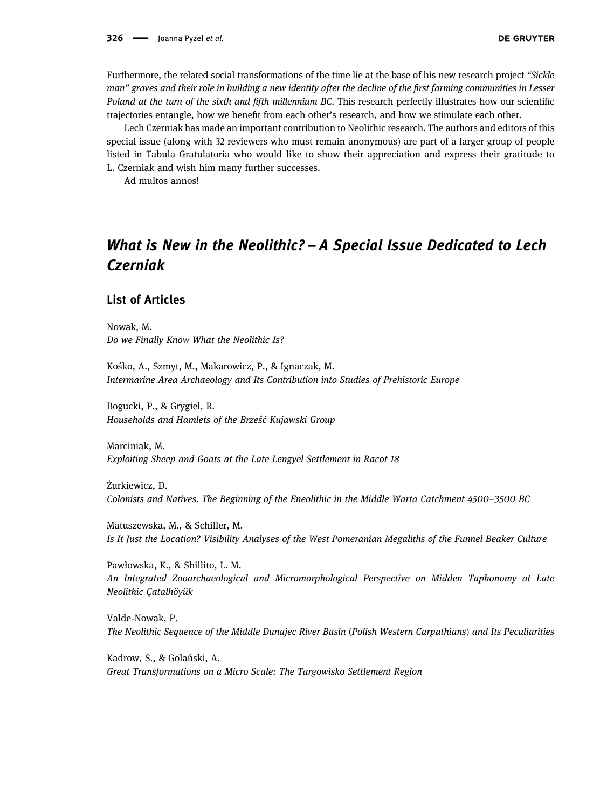Furthermore, the related social transformations of the time lie at the base of his new research project "Sickle man" graves and their role in building a new identity after the decline of the first farming communities in Lesser Poland at the turn of the sixth and fifth millennium BC. This research perfectly illustrates how our scientific trajectories entangle, how we benefit from each other's research, and how we stimulate each other.

Lech Czerniak has made an important contribution to Neolithic research. The authors and editors of this special issue (along with 32 reviewers who must remain anonymous) are part of a larger group of people listed in Tabula Gratulatoria who would like to show their appreciation and express their gratitude to L. Czerniak and wish him many further successes.

Ad multos annos!

# What is New in the Neolithic? – A Special Issue Dedicated to Lech Czerniak

#### List of Articles

Nowak, M. [Do we Finally Know What the Neolithic Is?](https://doi.org/10.1515/opar-2020-0204)

Kośko, A., Szmyt, M., Makarowicz, P., & Ignaczak, M. [Intermarine Area Archaeology and Its Contribution into Studies of Prehistoric Europe](https://doi.org/10.1515/opar-2020-0205)

Bogucki, P., & Grygiel, R. [Households and Hamlets of the Brze](https://doi.org/10.1515/opar-2020-0216)ść Kujawski Group

Marciniak, M. [Exploiting Sheep and Goats at the Late Lengyel Settlement in Racot 18](https://doi.org/10.1515/opar-2022-0238)

Żurkiewicz, D. [Colonists and Natives. The Beginning of the Eneolithic in the Middle Warta Catchment 4500](https://doi.org/10.1515/opar-2022-0240)–3500 BC

Matuszewska, M., & Schiller, M. [Is It Just the Location? Visibility Analyses of the West Pomeranian Megaliths of the Funnel Beaker Culture](https://doi.org/10.1515/opar-2022-0236)

Pawłowska, K., & Shillito, L. M. [An Integrated Zooarchaeological and Micromorphological Perspective on Midden Taphonomy at Late](https://doi.org/10.1515/opar-2020-0215) [Neolithic Çatalhöyük](https://doi.org/10.1515/opar-2020-0215)

Valde-Nowak, P. [The Neolithic Sequence of the Middle Dunajec River Basin](https://doi.org/10.1515/opar-2020-0204) (Polish Western Carpathians) and Its Peculiarities

Kadrow, S., & Golański, A. [Great Transformations on a Micro Scale: The Targowisko Settlement Region](https://doi.org/10.1515/opar-2020-0203)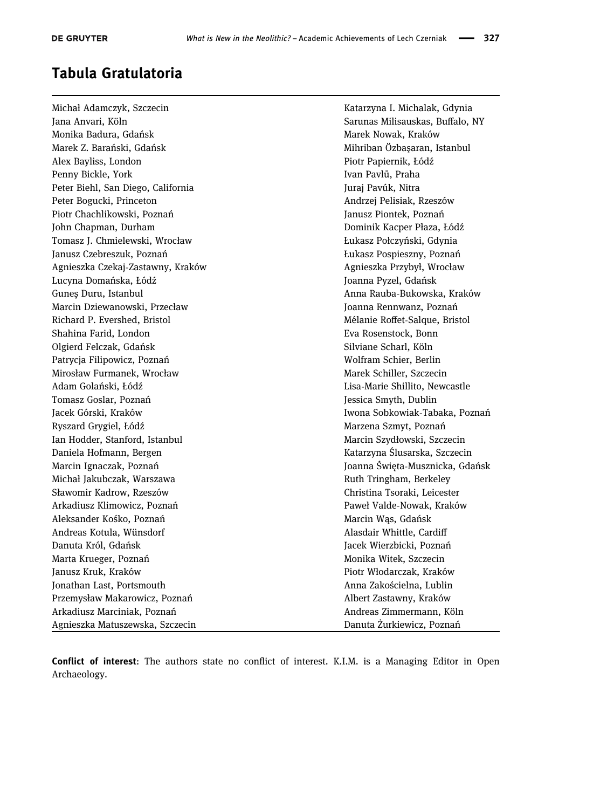## Tabula Gratulatoria

Michał Adamczyk, Szczecin Katarzyna I. Michalak, Gdynia Jana Anvari, Köln Sarunas Milisauskas, Buffalo, NY Monika Badura, Gdańsk Marek Nowak, Kraków Marek Nowak, Kraków Marek Z. Barański, Gdańsk Mihriban Özbasaran, Istanbul Alex Bayliss, London Piotr Papiernik, Łódź Penny Bickle, York **Ivan Pavlů, Praha** Peter Biehl, San Diego, California Juraj Pavúk, Nitraj Pavúk, Nitraj Pavúk, Nitraj Pavúk, Nitraj Pavúk, Nitraj Peter Bogucki, Princeton Andrzej Pelisiak, Rzeszów Piotr Chachlikowski, Poznań Janusz Piontek, Poznań John Chapman, Durham Dominik Kacper Płaza, Łódź Tomasz J. Chmielewski, Wrocław **Lukasz Połczyński, Gdynia** Janusz Czebreszuk, Poznań Łukasz Pospieszny, Poznań Agnieszka Czekaj-Zastawny, Kraków Agnieszka Przybył, Wrocław Lucyna Domańska, Łódź Joanna Pyzel, Gdańsk Guneş Duru, Istanbul Anna Rauba-Bukowska, Kraków Marcin Dziewanowski, Przecław Joanna Rennwanz, Poznań Richard P. Evershed, Bristol Mélanie Roffet-Salque, Bristol Shahina Farid, London **Eva Rosenstock, Bonn** Eva Rosenstock, Bonn Olgierd Felczak, Gdańsk Silviane Scharl, Köln Patrycja Filipowicz, Poznań Wolfram Schier, Berlin Mirosław Furmanek, Wrocław Marek Schiller, Szczecin Adam Golański, Łódź Lisa-Marie Shillito, Newcastle Tomasz Goslar, Poznań **Jessica Smyth, Dublin** Jacek Górski, Kraków **Iwona Sobkowiak-Tabaka, Poznań** Ryszard Grygiel, Łódź Marzena Szmyt, Poznań Ian Hodder, Stanford, Istanbul Marcin Szydłowski, Szczecin Daniela Hofmann, Bergen Katarzyna Ślusarska, Szczecin Marcin Ignaczak, Poznań **Joanna Swieta-Musznicka, Gdańsk** Michał Jakubczak, Warszawa Ruth Tringham, Berkeley Sławomir Kadrow, Rzeszów Christina Tsoraki, Leicester Arkadiusz Klimowicz, Poznań Paweł Valde-Nowak, Kraków Aleksander Kośko, Poznań Marcin Wąs, Gdańsk Andreas Kotula, Wünsdorf **Alassis and Alasdair Whittle, Cardiff** Danuta Król, Gdańsk **Jacek Wierzbicki, Poznań** Marta Krueger, Poznań **Monika Witek, Szczecin** Monika Witek, Szczecin Janusz Kruk, Kraków Piotr Włodarczak, Kraków Jonathan Last, Portsmouth Anna Zakościelna, Lublin Przemysław Makarowicz, Poznań **Albert Zastawny, Kraków** Albert Zastawny, Kraków Arkadiusz Marciniak, Poznań Andreas Zimmermann, Köln Agnieszka Matuszewska, Szczecin Danuta Żurkiewicz, Poznań

Conflict of interest: The authors state no conflict of interest. K.I.M. is a Managing Editor in Open Archaeology.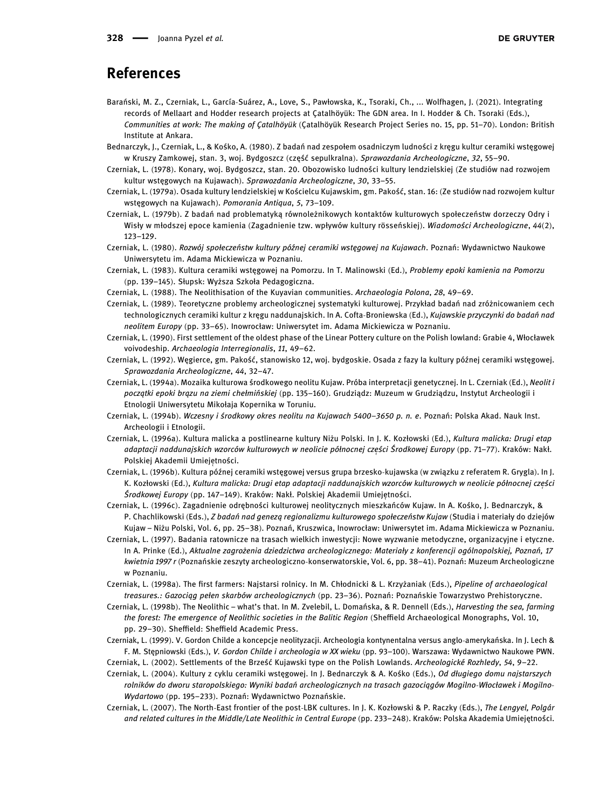## References

- <span id="page-5-21"></span>Barański, M. Z., Czerniak, L., García-Suárez, A., Love, S., Pawłowska, K., Tsoraki, Ch., ... Wolfhagen, J. (2021). Integrating records of Mellaart and Hodder research projects at Çatalhöyük: The GDN area. In I. Hodder & Ch. Tsoraki (Eds.), Communities at work: The making of Çatalhöyük (Çatalhöyük Research Project Series no. 15, pp. 51–70). London: British Institute at Ankara.
- <span id="page-5-9"></span>Bednarczyk, J., Czerniak, L., & Kośko, A. (1980). Z badań nad zespołem osadniczym ludności z kręgu kultur ceramiki wstęgowej w Kruszy Zamkowej, stan. 3, woj. Bydgoszcz (część sepulkralna). Sprawozdania Archeologiczne, 32, 55–90.
- <span id="page-5-10"></span>Czerniak, L. (1978). Konary, woj. Bydgoszcz, stan. 20. Obozowisko ludności kultury lendzielskiej (Ze studiów nad rozwojem kultur wstęgowych na Kujawach). Sprawozdania Archeologiczne, 30, 33–55.
- <span id="page-5-11"></span>Czerniak, L. (1979a). Osada kultury lendzielskiej w Kościelcu Kujawskim, gm. Pakość, stan. 16: (Ze studiów nad rozwojem kultur wstęgowych na Kujawach). Pomorania Antiqua, 5, 73-109.
- <span id="page-5-14"></span>Czerniak, L. (1979b). Z badań nad problematyką równoleżnikowych kontaktów kulturowych społeczeństw dorzeczy Odry i Wisły w młodszej epoce kamienia (Zagadnienie tzw. wpływów kultury rösseńskiej). Wiadomości Archeologiczne, 44(2), 123–129.
- <span id="page-5-1"></span>Czerniak, L. (1980). Rozwój społeczeństw kultury późnej ceramiki wstęgowej na Kujawach. Poznań: Wydawnictwo Naukowe Uniwersytetu im. Adama Mickiewicza w Poznaniu.
- <span id="page-5-20"></span>Czerniak, L. (1983). Kultura ceramiki wstęgowej na Pomorzu. In T. Malinowski (Ed.), Problemy epoki kamienia na Pomorzu (pp. 139–145). Słupsk: Wyższa Szkoła Pedagogiczna.
- <span id="page-5-15"></span>Czerniak, L. (1988). The Neolithisation of the Kuyavian communities. Archaeologia Polona, 28, 49–69.
- <span id="page-5-0"></span>Czerniak, L. (1989). Teoretyczne problemy archeologicznej systematyki kulturowej. Przykład badań nad zróżnicowaniem cech technologicznych ceramiki kultur z kręgu naddunajskich. In A. Cofta-Broniewska (Ed.), Kujawskie przyczynki do badań nad neolitem Europy (pp. 33–65). Inowrocław: Uniwersytet im. Adama Mickiewicza w Poznaniu.
- <span id="page-5-12"></span>Czerniak, L. (1990). First settlement of the oldest phase of the Linear Pottery culture on the Polish lowland: Grabie 4, Włocławek voivodeship. Archaeologia Interregionalis, 11, 49–62.
- <span id="page-5-13"></span>Czerniak, L. (1992). Węgierce, gm. Pakość, stanowisko 12, woj. bydgoskie. Osada z fazy Ia kultury późnej ceramiki wstęgowej. Sprawozdania Archeologiczne, 44, 32–47.
- <span id="page-5-16"></span>Czerniak, L. (1994a). Mozaika kulturowa środkowego neolitu Kujaw. Próba interpretacji genetycznej. In L. Czerniak (Ed.), Neolit i początki epoki brązu na ziemi chełmińskiej (pp. 135–160). Grudziądz: Muzeum w Grudziądzu, Instytut Archeologii i Etnologii Uniwersytetu Mikołaja Kopernika w Toruniu.
- <span id="page-5-2"></span>Czerniak, L. (1994b). Wczesny i środkowy okres neolitu na Kujawach 5400–3650 p. n. e. Poznań: Polska Akad. Nauk Inst. Archeologii i Etnologii.
- <span id="page-5-22"></span>Czerniak, L. (1996a). Kultura malicka a postlinearne kultury Niżu Polski. In J. K. Kozłowski (Ed.), Kultura malicka: Drugi etap adaptacji naddunajskich wzorców kulturowych w neolicie północnej części Środkowej Europy (pp. 71–77). Kraków: Nakł. Polskiej Akademii Umiejetności.
- <span id="page-5-18"></span>Czerniak, L. (1996b). Kultura późnej ceramiki wstęgowej versus grupa brzesko-kujawska (w związku z referatem R. Grygla). In J. K. Kozłowski (Ed.), Kultura malicka: Drugi etap adaptacji naddunajskich wzorców kulturowych w neolicie północnej części Środkowej Europy (pp. 147–149). Kraków: Nakł. Polskiej Akademii Umiejętności.
- <span id="page-5-17"></span>Czerniak, L. (1996c). Zagadnienie odrębności kulturowej neolitycznych mieszkańców Kujaw. In A. Kośko, J. Bednarczyk, & P. Chachlikowski (Eds.), Z badań nad genezą regionalizmu kulturowego społeczeństw Kujaw (Studia i materiały do dziejów Kujaw – Niżu Polski, Vol. 6, pp. 25–38). Poznań, Kruszwica, Inowrocław: Uniwersytet im. Adama Mickiewicza w Poznaniu.
- <span id="page-5-6"></span>Czerniak, L. (1997). Badania ratownicze na trasach wielkich inwestycji: Nowe wyzwanie metodyczne, organizacyjne i etyczne. In A. Prinke (Ed.), Aktualne zagrożenia dziedzictwa archeologicznego: Materiały z konferencji ogólnopolskiej, Poznań, 17 kwietnia 1997 r (Poznańskie zeszyty archeologiczno-konserwatorskie, Vol. 6, pp. 38–41). Poznań: Muzeum Archeologiczne w Poznaniu.
- <span id="page-5-4"></span>Czerniak, L. (1998a). The first farmers: Najstarsi rolnicy. In M. Chłodnicki & L. Krzyżaniak (Eds.), Pipeline of archaeological treasures.: Gazociąg pełen skarbów archeologicznych (pp. 23–36). Poznań: Poznańskie Towarzystwo Prehistoryczne.
- <span id="page-5-7"></span>Czerniak, L. (1998b). The Neolithic – what's that. In M. Zvelebil, L. Domańska, & R. Dennell (Eds.), Harvesting the sea, farming the forest: The emergence of Neolithic societies in the Balitic Region (Sheffield Archaeological Monographs, Vol. 10, pp. 29–30). Sheffield: Sheffield Academic Press.
- <span id="page-5-8"></span>Czerniak, L. (1999). V. Gordon Childe a koncepcje neolityzacji. Archeologia kontynentalna versus anglo-amerykańska. In J. Lech & F. M. Stępniowski (Eds.), V. Gordon Childe i archeologia w XX wieku (pp. 93–100). Warszawa: Wydawnictwo Naukowe PWN. Czerniak, L. (2002). Settlements of the Brześć Kujawski type on the Polish Lowlands. Archeologické Rozhledy, 54, 9–22.
- <span id="page-5-19"></span><span id="page-5-5"></span>Czerniak, L. (2004). Kultury z cyklu ceramiki wstęgowej. In J. Bednarczyk & A. Kośko (Eds.), Od długiego domu najstarszych rolników do dworu staropolskiego: Wyniki badań archeologicznych na trasach gazociągów Mogilno-Włocławek i Mogilno-Wydartowo (pp. 195–233). Poznań: Wydawnictwo Poznańskie.
- <span id="page-5-3"></span>Czerniak, L. (2007). The North-East frontier of the post-LBK cultures. In J. K. Kozłowski & P. Raczky (Eds.), The Lengyel, Polgár and related cultures in the Middle/Late Neolithic in Central Europe (pp. 233–248). Kraków: Polska Akademia Umiejętności.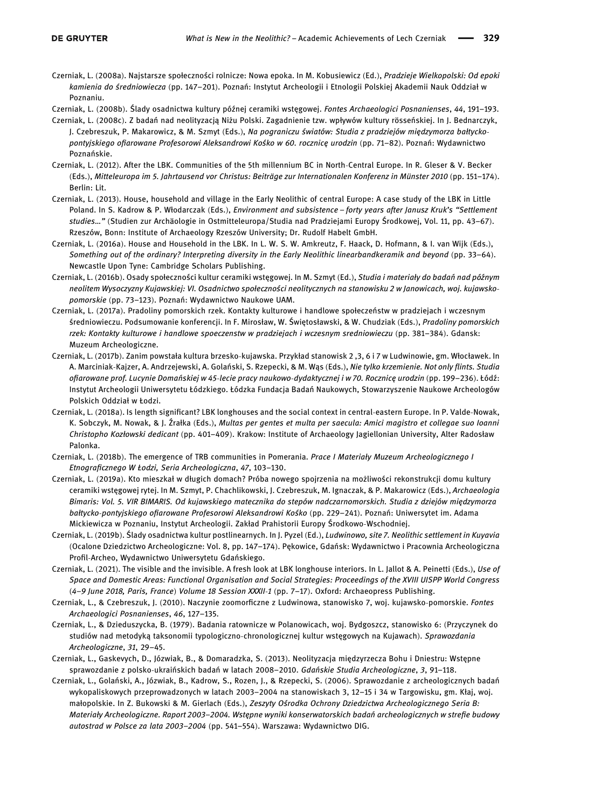<span id="page-6-15"></span>Czerniak, L. (2008a). Najstarsze społeczności rolnicze: Nowa epoka. In M. Kobusiewicz (Ed.), Pradzieje Wielkopolski: Od epoki kamienia do średniowiecza (pp. 147–201). Poznań: Instytut Archeologii i Etnologii Polskiej Akademii Nauk Oddział w Poznaniu.

<span id="page-6-10"></span>Czerniak, L. (2008b). Ślady osadnictwa kultury późnej ceramiki wstęgowej. Fontes Archaeologici Posnanienses, 44, 191–193.

- <span id="page-6-8"></span>Czerniak, L. (2008c). Z badań nad neolityzacją Niżu Polski. Zagadnienie tzw. wpływów kultury rösseńskiej. In J. Bednarczyk, J. Czebreszuk, P. Makarowicz, & M. Szmyt (Eds.), Na pograniczu światów: Studia z pradziejów międzymorza bałtyckopontyjskiego ofiarowane Profesorowi Aleksandrowi Kośko w 60. rocznicę urodzin (pp. 71–82). Poznań: Wydawnictwo Poznańskie.
- <span id="page-6-0"></span>Czerniak, L. (2012). After the LBK. Communities of the 5th millennium BC in North-Central Europe. In R. Gleser & V. Becker (Eds.), Mitteleuropa im 5. Jahrtausend vor Christus: Beiträge zur Internationalen Konferenz in Münster 2010 (pp. 151–174). Berlin: Lit.
- <span id="page-6-1"></span>Czerniak, L. (2013). House, household and village in the Early Neolithic of central Europe: A case study of the LBK in Little Poland. In S. Kadrow & P. Włodarczak (Eds.), Environment and subsistence – forty years after Janusz Kruk's "Settlement studies…" (Studien zur Archäologie in Ostmitteleuropa/Studia nad Pradziejami Europy Środkowej, Vol. 11, pp. 43–67). Rzeszów, Bonn: Institute of Archaeology Rzeszów University; Dr. Rudolf Habelt GmbH.
- <span id="page-6-11"></span>Czerniak, L. (2016a). House and Household in the LBK. In L. W. S. W. Amkreutz, F. Haack, D. Hofmann, & I. van Wijk (Eds.), Something out of the ordinary? Interpreting diversity in the Early Neolithic linearbandkeramik and beyond (pp. 33–64). Newcastle Upon Tyne: Cambridge Scholars Publishing.
- <span id="page-6-3"></span>Czerniak, L. (2016b). Osady społeczności kultur ceramiki wstęgowej. In M. Szmyt (Ed.), Studia i materiały do badań nad późnym neolitem Wysoczyzny Kujawskiej: VI. Osadnictwo społeczności neolitycznych na stanowisku 2 w Janowicach, woj. kujawskopomorskie (pp. 73–123). Poznań: Wydawnictwo Naukowe UAM.
- <span id="page-6-16"></span>Czerniak, L. (2017a). Pradoliny pomorskich rzek. Kontakty kulturowe i handlowe społeczeństw w pradziejach i wczesnym średniowieczu. Podsumowanie konferencji. In F. Mirosław, W. Świętosławski, & W. Chudziak (Eds.), Pradoliny pomorskich rzek: Kontakty kulturowe i handlowe spoeczenstw w pradziejach i wczesnym sredniowieczu (pp. 381–384). Gdansk: Muzeum Archeologiczne.
- <span id="page-6-4"></span>Czerniak, L. (2017b). Zanim powstała kultura brzesko-kujawska. Przykład stanowisk 2 ,3, 6 i 7 w Ludwinowie, gm. Włocławek. In A. Marciniak-Kajzer, A. Andrzejewski, A. Golański, S. Rzepecki, & M. Wąs (Eds.), Nie tylko krzemienie. Not only flints. Studia ofiarowane prof. Lucynie Domańskiej w 45-lecie pracy naukowo-dydaktycznej i w 70. Rocznicę urodzin (pp. 199–236). Łódź: Instytut Archeologii Uniwersytetu Łódzkiego. Łódzka Fundacja Badań Naukowych, Stowarzyszenie Naukowe Archeologów Polskich Oddział w Łodzi.
- <span id="page-6-12"></span>Czerniak, L. (2018a). Is length significant? LBK longhouses and the social context in central-eastern Europe. In P. Valde-Nowak, K. Sobczyk, M. Nowak, & J. Źrałka (Eds.), Multas per gentes et multa per saecula: Amici magistro et collegae suo Ioanni Christopho Kozłowski dedicant (pp. 401–409). Krakow: Institute of Archaeology Jagiellonian University, Alter Radosław Palonka.
- <span id="page-6-17"></span>Czerniak, L. (2018b). The emergence of TRB communities in Pomerania. Prace I Materiały Muzeum Archeologicznego I Etnograficznego W Łodzi, Seria Archeologiczna, 47, 103–130.
- <span id="page-6-13"></span>Czerniak, L. (2019a). Kto mieszkał w długich domach? Próba nowego spojrzenia na możliwości rekonstrukcji domu kultury ceramiki wstęgowej rytej. In M. Szmyt, P. Chachlikowski, J. Czebreszuk, M. Ignaczak, & P. Makarowicz (Eds.), Archaeologia Bimaris: Vol. 5. VIR BIMARIS. Od kujawskiego matecznika do stepów nadczarnomorskich. Studia z dziejów międzymorza bałtycko-pontyjskiego ofiarowane Profesorowi Aleksandrowi Kośko (pp. 229–241). Poznań: Uniwersytet im. Adama Mickiewicza w Poznaniu, Instytut Archeologii. Zakład Prahistorii Europy Środkowo-Wschodniej.
- <span id="page-6-5"></span>Czerniak, L. (2019b). Ślady osadnictwa kultur postlinearnych. In J. Pyzel (Ed.), Ludwinowo, site 7. Neolithic settlement in Kuyavia (Ocalone Dziedzictwo Archeologiczne: Vol. 8, pp. 147–174). Pękowice, Gdańsk: Wydawnictwo i Pracownia Archeologiczna Profil-Archeo, Wydawnictwo Uniwersytetu Gdańskiego.
- <span id="page-6-14"></span>Czerniak, L. (2021). The visible and the invisible. A fresh look at LBK longhouse interiors. In L. Jallot & A. Peinetti (Eds.), Use of Space and Domestic Areas: Functional Organisation and Social Strategies: Proceedings of the XVIII UISPP World Congress (4–9 June 2018, Paris, France) Volume 18 Session XXXII-1 (pp. 7–17). Oxford: Archaeopress Publishing.
- <span id="page-6-6"></span>Czerniak, L., & Czebreszuk, J. (2010). Naczynie zoomorficzne z Ludwinowa, stanowisko 7, woj. kujawsko-pomorskie. Fontes Archaeologici Posnanienses, 46, 127–135.
- <span id="page-6-7"></span>Czerniak, L., & Dzieduszycka, B. (1979). Badania ratownicze w Polanowicach, woj. Bydgoszcz, stanowisko 6: (Przyczynek do studiów nad metodyką taksonomii typologiczno-chronologicznej kultur wstęgowych na Kujawach). Sprawozdania Archeologiczne, 31, 29–45.
- <span id="page-6-9"></span>Czerniak, L., Gaskevych, D., Józwiak, B., & Domaradzka, S. (2013). Neolityzacja międzyrzecza Bohu i Dniestru: Wstępne sprawozdanie z polsko-ukraińskich badań w latach 2008–2010. Gdańskie Studia Archeologiczne, 3, 91–118.
- <span id="page-6-2"></span>Czerniak, L., Golański, A., Józwiak, B., Kadrow, S., Rozen, J., & Rzepecki, S. (2006). Sprawozdanie z archeologicznych badań wykopaliskowych przeprowadzonych w latach 2003–2004 na stanowiskach 3, 12–15 i 34 w Targowisku, gm. Kłaj, woj. małopolskie. In Z. Bukowski & M. Gierlach (Eds.), Zeszyty Ośrodka Ochrony Dziedzictwa Archeologicznego Seria B: Materiały Archeologiczne. Raport 2003–2004. Wstępne wyniki konserwatorskich badań archeologicznych w strefie budowy autostrad w Polsce za lata 2003–2004 (pp. 541–554). Warszawa: Wydawnictwo DIG.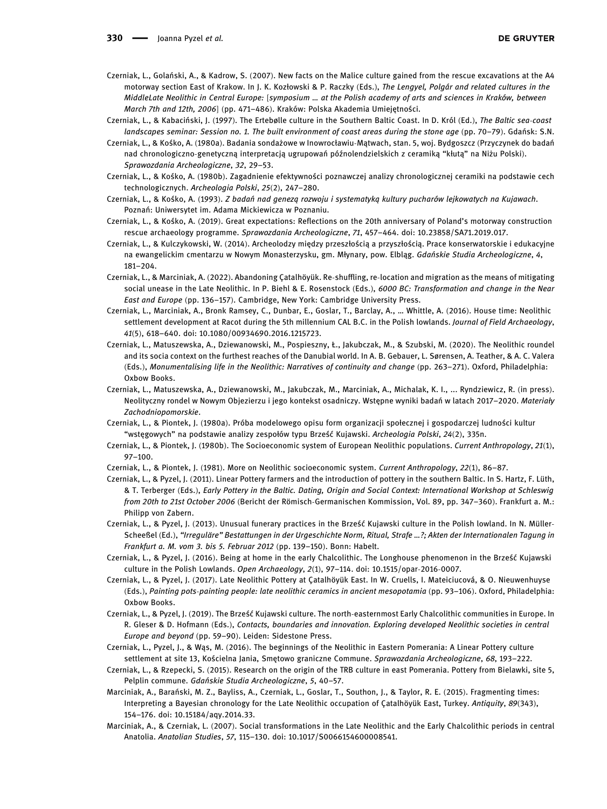330 - Joanna Pyzel et al.

- <span id="page-7-2"></span>Czerniak, L., Golański, A., & Kadrow, S. (2007). New facts on the Malice culture gained from the rescue excavations at the A4 motorway section East of Krakow. In J. K. Kozłowski & P. Raczky (Eds.), The Lengyel, Polgár and related cultures in the MiddleLate Neolithic in Central Europe: [symposium … at the Polish academy of arts and sciences in Kraków, between March 7th and 12th, 2006] (pp. 471–486). Kraków: Polska Akademia Umiejętności.
- <span id="page-7-19"></span>Czerniak, L., & Kabaciński, J. (1997). The Ertebølle culture in the Southern Baltic Coast. In D. Król (Ed.), The Baltic sea-coast landscapes seminar: Session no. 1. The built environment of coast areas during the stone age (pp. 70–79). Gdańsk: S.N.
- <span id="page-7-7"></span>Czerniak, L., & Kośko, A. (1980a). Badania sondażowe w Inowrocławiu-Mątwach, stan. 5, woj. Bydgoszcz (Przyczynek do badań nad chronologiczno-genetyczną interpretacją ugrupowań późnolendzielskich z ceramiką "kłutą" na Niżu Polski). Sprawozdania Archeologiczne, 32, 29–53.
- <span id="page-7-0"></span>Czerniak, L., & Kośko, A. (1980b). Zagadnienie efektywności poznawczej analizy chronologicznej ceramiki na podstawie cech technologicznych. Archeologia Polski, 25(2), 247–280.
- <span id="page-7-8"></span>Czerniak, L., & Kośko, A. (1993). Z badań nad genezą rozwoju i systematyką kultury pucharów lejkowatych na Kujawach. Poznań: Uniwersytet im. Adama Mickiewicza w Poznaniu.
- <span id="page-7-5"></span>Czerniak, L., & Kośko, A. (2019). Great expectations: Reflections on the 20th anniversary of Poland's motorway construction rescue archaeology programme. Sprawozdania Archeologiczne, 71, 457–464. doi: 10.23858/SA71.2019.017.
- <span id="page-7-6"></span>Czerniak, L., & Kulczykowski, W. (2014). Archeolodzy między przeszłością a przyszłością. Prace konserwatorskie i edukacyjne na ewangelickim cmentarzu w Nowym Monasterzysku, gm. Młynary, pow. Elbląg. Gdańskie Studia Archeologiczne, 4, 181–204.
- <span id="page-7-16"></span>Czerniak, L., & Marciniak, A. (2022). Abandoning Çatalhöyük. Re-shuffling, re-location and migration as the means of mitigating social unease in the Late Neolithic. In P. Biehl & E. Rosenstock (Eds.), 6000 BC: Transformation and change in the Near East and Europe (pp. 136–157). Cambridge, New York: Cambridge University Press.
- <span id="page-7-13"></span>Czerniak, L., Marciniak, A., Bronk Ramsey, C., Dunbar, E., Goslar, T., Barclay, A., … Whittle, A. (2016). House time: Neolithic settlement development at Racot during the 5th millennium CAL B.C. in the Polish lowlands. Journal of Field Archaeology, 41(5), 618–640. doi: 10.1080/00934690.2016.1215723.
- <span id="page-7-14"></span>Czerniak, L., Matuszewska, A., Dziewanowski, M., Pospieszny, Ł., Jakubczak, M., & Szubski, M. (2020). The Neolithic roundel and its socia context on the furthest reaches of the Danubial world. In A. B. Gebauer, L. Sørensen, A. Teather, & A. C. Valera (Eds.), Monumentalising life in the Neolithic: Narratives of continuity and change (pp. 263–271). Oxford, Philadelphia: Oxbow Books.
- <span id="page-7-15"></span>Czerniak, L., Matuszewska, A., Dziewanowski, M., Jakubczak, M., Marciniak, A., Michalak, K. I., ... Ryndziewicz, R. (in press). Neolityczny rondel w Nowym Objezierzu i jego kontekst osadniczy. Wstępne wyniki badań w latach 2017–2020. Materiały Zachodniopomorskie.
- <span id="page-7-9"></span>Czerniak, L., & Piontek, J. (1980a). Próba modelowego opisu form organizacji społecznej i gospodarczej ludności kultur "wstęgowych" na podstawie analizy zespołów typu Brześć Kujawski. Archeologia Polski, 24(2), 335n.
- <span id="page-7-10"></span>Czerniak, L., & Piontek, J. (1980b). The Socioeconomic system of European Neolithic populations. Current Anthropology, 21(1), 97–100.
- <span id="page-7-11"></span>Czerniak, L., & Piontek, J. (1981). More on Neolithic socioeconomic system. Current Anthropology, 22(1), 86–87.
- <span id="page-7-20"></span>Czerniak, L., & Pyzel, J. (2011). Linear Pottery farmers and the introduction of pottery in the southern Baltic. In S. Hartz, F. Lüth, & T. Terberger (Eds.), Early Pottery in the Baltic. Dating, Origin and Social Context: International Workshop at Schleswig from 20th to 21st October 2006 (Bericht der Römisch-Germanischen Kommission, Vol. 89, pp. 347–360). Frankfurt a. M.: Philipp von Zabern.
- <span id="page-7-12"></span>Czerniak, L., & Pyzel, J. (2013). Unusual funerary practices in the Brześć Kujawski culture in the Polish lowland. In N. Müller-Scheeßel (Ed.), "Irreguläre" Bestattungen in der Urgeschichte Norm, Ritual, Strafe …?; Akten der Internationalen Tagung in Frankfurt a. M. vom 3. bis 5. Februar 2012 (pp. 139–150). Bonn: Habelt.
- <span id="page-7-3"></span>Czerniak, L., & Pyzel, J. (2016). Being at home in the early Chalcolithic. The Longhouse phenomenon in the Brześć Kujawski culture in the Polish Lowlands. Open Archaeology, 2(1), 97–114. doi: 10.1515/opar-2016-0007.
- <span id="page-7-17"></span>Czerniak, L., & Pyzel, J. (2017). Late Neolithic Pottery at Çatalhöyük East. In W. Cruells, I. Mateiciucová, & O. Nieuwenhuyse (Eds.), Painting pots-painting people: late neolithic ceramics in ancient mesopotamia (pp. 93–106). Oxford, Philadelphia: Oxbow Books.
- <span id="page-7-4"></span>Czerniak, L., & Pyzel, J. (2019). The Brześć Kujawski culture. The north-easternmost Early Chalcolithic communities in Europe. In R. Gleser & D. Hofmann (Eds.), Contacts, boundaries and innovation. Exploring developed Neolithic societies in central Europe and beyond (pp. 59–90). Leiden: Sidestone Press.
- <span id="page-7-22"></span>Czerniak, L., Pyzel, J., & Wąs, M. (2016). The beginnings of the Neolithic in Eastern Pomerania: A Linear Pottery culture settlement at site 13, Kościelna Jania, Smętowo graniczne Commune. Sprawozdania Archeologiczne, 68, 193–222.
- <span id="page-7-21"></span>Czerniak, L., & Rzepecki, S. (2015). Research on the origin of the TRB culture in east Pomerania. Pottery from Bielawki, site 5, Pelplin commune. Gdańskie Studia Archeologiczne, 5, 40–57.
- <span id="page-7-18"></span>Marciniak, A., Barański, M. Z., Bayliss, A., Czerniak, L., Goslar, T., Southon, J., & Taylor, R. E. (2015). Fragmenting times: Interpreting a Bayesian chronology for the Late Neolithic occupation of Çatalhöyük East, Turkey. Antiquity, 89(343), 154–176. doi: 10.15184/aqy.2014.33.
- <span id="page-7-1"></span>Marciniak, A., & Czerniak, L. (2007). Social transformations in the Late Neolithic and the Early Chalcolithic periods in central Anatolia. Anatolian Studies, 57, 115–130. doi: 10.1017/S0066154600008541.